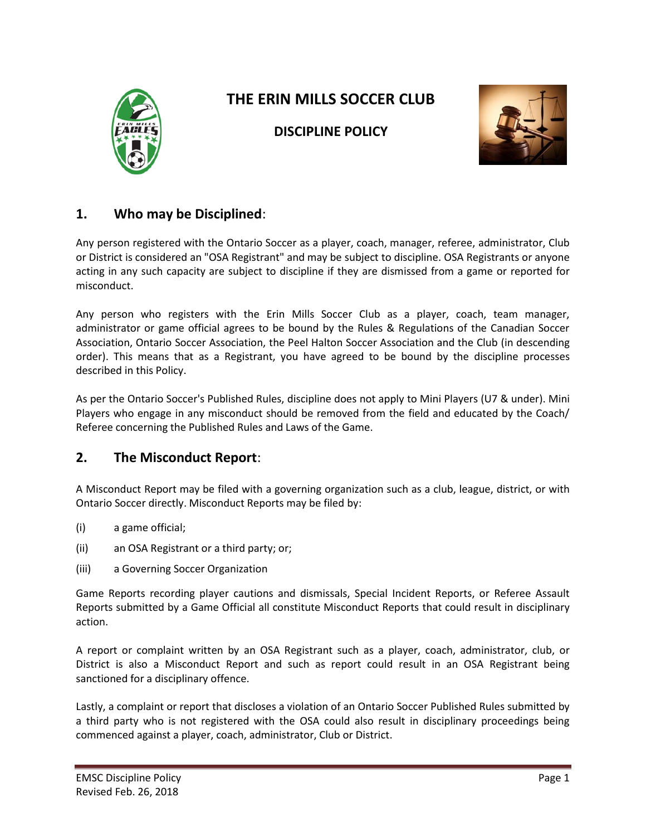

# **THE ERIN MILLS SOCCER CLUB**



### **DISCIPLINE POLICY**

# **1. Who may be Disciplined**:

Any person registered with the Ontario Soccer as a player, coach, manager, referee, administrator, Club or District is considered an "OSA Registrant" and may be subject to discipline. OSA Registrants or anyone acting in any such capacity are subject to discipline if they are dismissed from a game or reported for misconduct.

Any person who registers with the Erin Mills Soccer Club as a player, coach, team manager, administrator or game official agrees to be bound by the Rules & Regulations of the Canadian Soccer Association, Ontario Soccer Association, the Peel Halton Soccer Association and the Club (in descending order). This means that as a Registrant, you have agreed to be bound by the discipline processes described in this Policy.

As per the Ontario Soccer's Published Rules, discipline does not apply to Mini Players (U7 & under). Mini Players who engage in any misconduct should be removed from the field and educated by the Coach/ Referee concerning the Published Rules and Laws of the Game.

### **2. The Misconduct Report**:

A Misconduct Report may be filed with a governing organization such as a club, league, district, or with Ontario Soccer directly. Misconduct Reports may be filed by:

- (i) a game official;
- (ii) an OSA Registrant or a third party; or;
- (iii) a Governing Soccer Organization

Game Reports recording player cautions and dismissals, Special Incident Reports, or Referee Assault Reports submitted by a Game Official all constitute Misconduct Reports that could result in disciplinary action.

A report or complaint written by an OSA Registrant such as a player, coach, administrator, club, or District is also a Misconduct Report and such as report could result in an OSA Registrant being sanctioned for a disciplinary offence.

Lastly, a complaint or report that discloses a violation of an Ontario Soccer Published Rules submitted by a third party who is not registered with the OSA could also result in disciplinary proceedings being commenced against a player, coach, administrator, Club or District.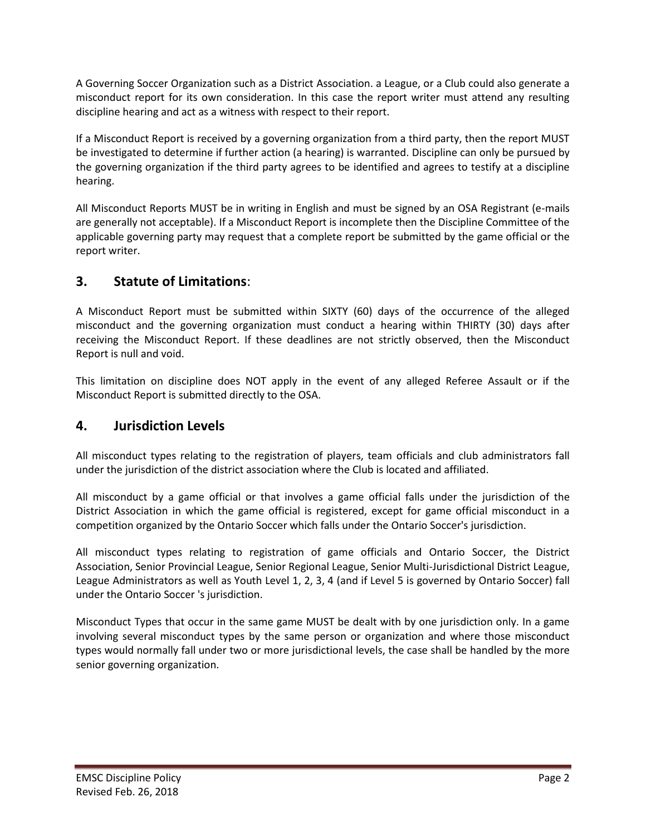A Governing Soccer Organization such as a District Association. a League, or a Club could also generate a misconduct report for its own consideration. In this case the report writer must attend any resulting discipline hearing and act as a witness with respect to their report.

If a Misconduct Report is received by a governing organization from a third party, then the report MUST be investigated to determine if further action (a hearing) is warranted. Discipline can only be pursued by the governing organization if the third party agrees to be identified and agrees to testify at a discipline hearing.

All Misconduct Reports MUST be in writing in English and must be signed by an OSA Registrant (e-mails are generally not acceptable). If a Misconduct Report is incomplete then the Discipline Committee of the applicable governing party may request that a complete report be submitted by the game official or the report writer.

### **3. Statute of Limitations**:

A Misconduct Report must be submitted within SIXTY (60) days of the occurrence of the alleged misconduct and the governing organization must conduct a hearing within THIRTY (30) days after receiving the Misconduct Report. If these deadlines are not strictly observed, then the Misconduct Report is null and void.

This limitation on discipline does NOT apply in the event of any alleged Referee Assault or if the Misconduct Report is submitted directly to the OSA.

### **4. Jurisdiction Levels**

All misconduct types relating to the registration of players, team officials and club administrators fall under the jurisdiction of the district association where the Club is located and affiliated.

All misconduct by a game official or that involves a game official falls under the jurisdiction of the District Association in which the game official is registered, except for game official misconduct in a competition organized by the Ontario Soccer which falls under the Ontario Soccer's jurisdiction.

All misconduct types relating to registration of game officials and Ontario Soccer, the District Association, Senior Provincial League, Senior Regional League, Senior Multi-Jurisdictional District League, League Administrators as well as Youth Level 1, 2, 3, 4 (and if Level 5 is governed by Ontario Soccer) fall under the Ontario Soccer 's jurisdiction.

Misconduct Types that occur in the same game MUST be dealt with by one jurisdiction only. In a game involving several misconduct types by the same person or organization and where those misconduct types would normally fall under two or more jurisdictional levels, the case shall be handled by the more senior governing organization.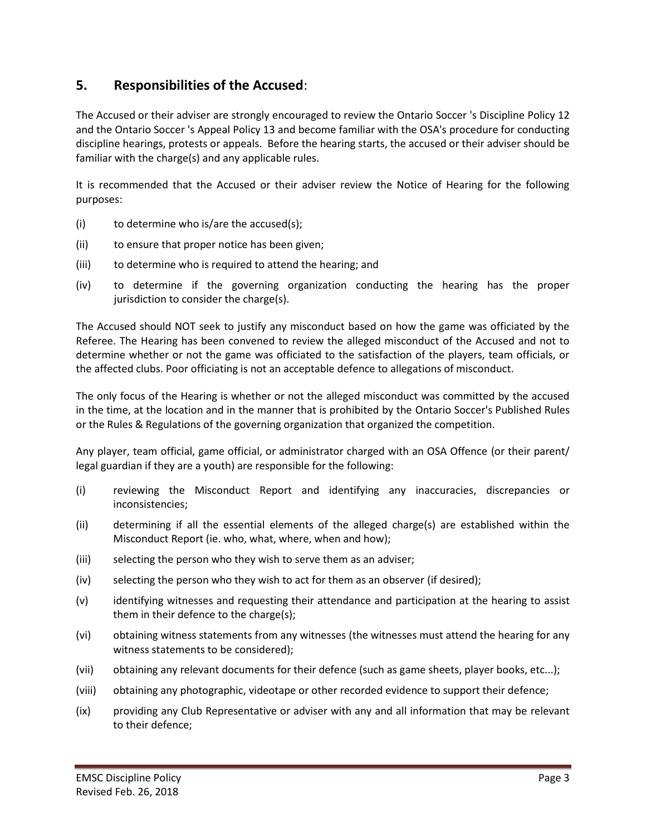# **5. Responsibilities of the Accused**:

The Accused or their adviser are strongly encouraged to review the Ontario Soccer 's Discipline Policy 12 and the Ontario Soccer 's Appeal Policy 13 and become familiar with the OSA's procedure for conducting discipline hearings, protests or appeals. Before the hearing starts, the accused or their adviser should be familiar with the charge(s) and any applicable rules.

It is recommended that the Accused or their adviser review the Notice of Hearing for the following purposes:

- (i) to determine who is/are the accused(s);
- (ii) to ensure that proper notice has been given;
- (iii) to determine who is required to attend the hearing; and
- (iv) to determine if the governing organization conducting the hearing has the proper jurisdiction to consider the charge(s).

The Accused should NOT seek to justify any misconduct based on how the game was officiated by the Referee. The Hearing has been convened to review the alleged misconduct of the Accused and not to determine whether or not the game was officiated to the satisfaction of the players, team officials, or the affected clubs. Poor officiating is not an acceptable defence to allegations of misconduct.

The only focus of the Hearing is whether or not the alleged misconduct was committed by the accused in the time, at the location and in the manner that is prohibited by the Ontario Soccer's Published Rules or the Rules & Regulations of the governing organization that organized the competition.

Any player, team official, game official, or administrator charged with an OSA Offence (or their parent/ legal guardian if they are a youth) are responsible for the following:

- (i) reviewing the Misconduct Report and identifying any inaccuracies, discrepancies or inconsistencies;
- (ii) determining if all the essential elements of the alleged charge(s) are established within the Misconduct Report (ie. who, what, where, when and how);
- (iii) selecting the person who they wish to serve them as an adviser;
- (iv) selecting the person who they wish to act for them as an observer (if desired);
- (v) identifying witnesses and requesting their attendance and participation at the hearing to assist them in their defence to the charge(s);
- (vi) obtaining witness statements from any witnesses (the witnesses must attend the hearing for any witness statements to be considered);
- (vii) obtaining any relevant documents for their defence (such as game sheets, player books, etc...);
- (viii) obtaining any photographic, videotape or other recorded evidence to support their defence;
- (ix) providing any Club Representative or adviser with any and all information that may be relevant to their defence;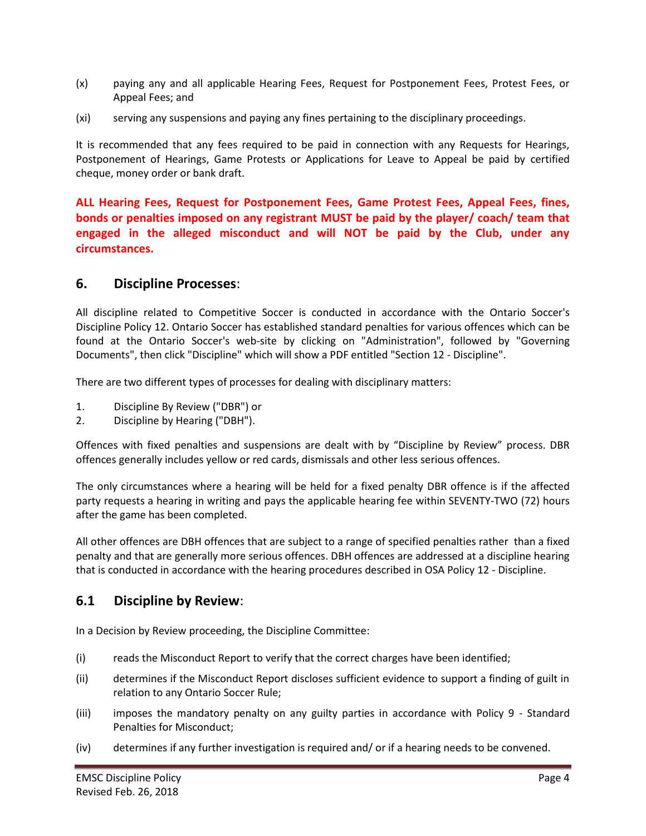- (x) paying any and all applicable Hearing Fees, Request for Postponement Fees, Protest Fees, or Appeal Fees; and
- (xi) serving any suspensions and paying any fines pertaining to the disciplinary proceedings.

It is recommended that any fees required to be paid in connection with any Requests for Hearings, Postponement of Hearings, Game Protests or Applications for Leave to Appeal be paid by certified cheque, money order or bank draft.

**ALL Hearing Fees, Request for Postponement Fees, Game Protest Fees, Appeal Fees, fines, bonds or penalties imposed on any registrant MUST be paid by the player/ coach/ team that engaged in the alleged misconduct and will NOT be paid by the Club, under any circumstances.**

#### **6. Discipline Processes**:

All discipline related to Competitive Soccer is conducted in accordance with the Ontario Soccer's Discipline Policy 12. Ontario Soccer has established standard penalties for various offences which can be found at the Ontario Soccer's web-site by clicking on "Administration", followed by "Governing Documents", then click "Discipline" which will show a PDF entitled "Section 12 - Discipline".

There are two different types of processes for dealing with disciplinary matters:

- 1. Discipline By Review ("DBR") or
- 2. Discipline by Hearing ("DBH").

Offences with fixed penalties and suspensions are dealt with by "Discipline by Review" process. DBR offences generally includes yellow or red cards, dismissals and other less serious offences.

The only circumstances where a hearing will be held for a fixed penalty DBR offence is if the affected party requests a hearing in writing and pays the applicable hearing fee within SEVENTY-TWO (72) hours after the game has been completed.

All other offences are DBH offences that are subject to a range of specified penalties rather than a fixed penalty and that are generally more serious offences. DBH offences are addressed at a discipline hearing that is conducted in accordance with the hearing procedures described in OSA Policy 12 - Discipline.

### **6.1 Discipline by Review**:

In a Decision by Review proceeding, the Discipline Committee:

- (i) reads the Misconduct Report to verify that the correct charges have been identified;
- (ii) determines if the Misconduct Report discloses sufficient evidence to support a finding of guilt in relation to any Ontario Soccer Rule;
- (iii) imposes the mandatory penalty on any guilty parties in accordance with Policy 9 Standard Penalties for Misconduct;
- (iv) determines if any further investigation is required and/ or if a hearing needs to be convened.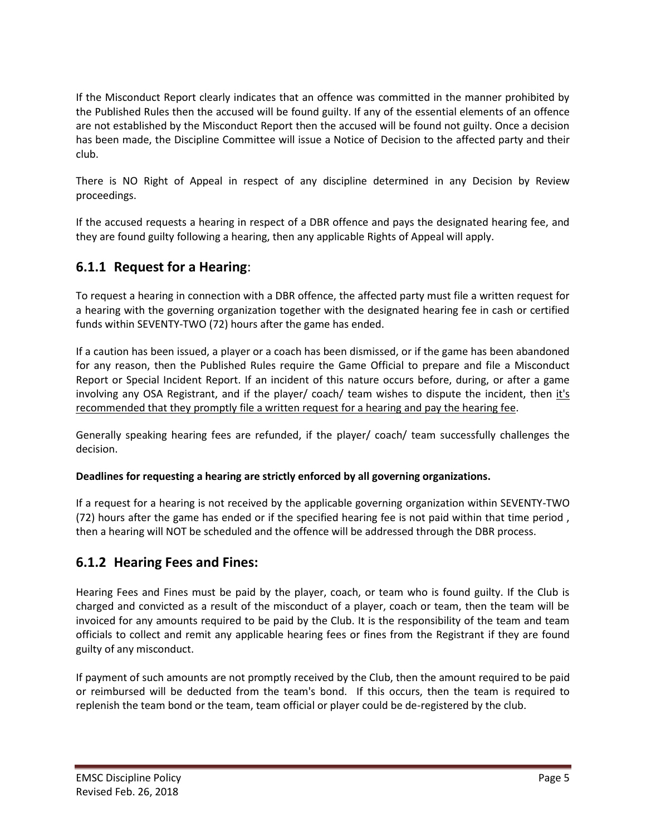If the Misconduct Report clearly indicates that an offence was committed in the manner prohibited by the Published Rules then the accused will be found guilty. If any of the essential elements of an offence are not established by the Misconduct Report then the accused will be found not guilty. Once a decision has been made, the Discipline Committee will issue a Notice of Decision to the affected party and their club.

There is NO Right of Appeal in respect of any discipline determined in any Decision by Review proceedings.

If the accused requests a hearing in respect of a DBR offence and pays the designated hearing fee, and they are found guilty following a hearing, then any applicable Rights of Appeal will apply.

# **6.1.1 Request for a Hearing**:

To request a hearing in connection with a DBR offence, the affected party must file a written request for a hearing with the governing organization together with the designated hearing fee in cash or certified funds within SEVENTY-TWO (72) hours after the game has ended.

If a caution has been issued, a player or a coach has been dismissed, or if the game has been abandoned for any reason, then the Published Rules require the Game Official to prepare and file a Misconduct Report or Special Incident Report. If an incident of this nature occurs before, during, or after a game involving any OSA Registrant, and if the player/ coach/ team wishes to dispute the incident, then it's recommended that they promptly file a written request for a hearing and pay the hearing fee.

Generally speaking hearing fees are refunded, if the player/ coach/ team successfully challenges the decision.

#### **Deadlines for requesting a hearing are strictly enforced by all governing organizations.**

If a request for a hearing is not received by the applicable governing organization within SEVENTY-TWO (72) hours after the game has ended or if the specified hearing fee is not paid within that time period , then a hearing will NOT be scheduled and the offence will be addressed through the DBR process.

# **6.1.2 Hearing Fees and Fines:**

Hearing Fees and Fines must be paid by the player, coach, or team who is found guilty. If the Club is charged and convicted as a result of the misconduct of a player, coach or team, then the team will be invoiced for any amounts required to be paid by the Club. It is the responsibility of the team and team officials to collect and remit any applicable hearing fees or fines from the Registrant if they are found guilty of any misconduct.

If payment of such amounts are not promptly received by the Club, then the amount required to be paid or reimbursed will be deducted from the team's bond. If this occurs, then the team is required to replenish the team bond or the team, team official or player could be de-registered by the club.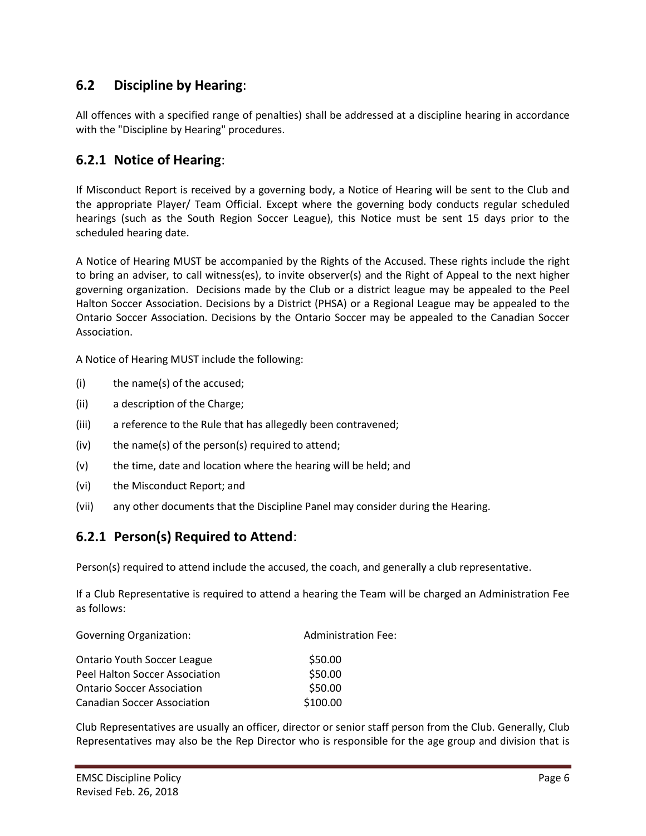# **6.2 Discipline by Hearing**:

All offences with a specified range of penalties) shall be addressed at a discipline hearing in accordance with the "Discipline by Hearing" procedures.

### **6.2.1 Notice of Hearing**:

If Misconduct Report is received by a governing body, a Notice of Hearing will be sent to the Club and the appropriate Player/ Team Official. Except where the governing body conducts regular scheduled hearings (such as the South Region Soccer League), this Notice must be sent 15 days prior to the scheduled hearing date.

A Notice of Hearing MUST be accompanied by the Rights of the Accused. These rights include the right to bring an adviser, to call witness(es), to invite observer(s) and the Right of Appeal to the next higher governing organization. Decisions made by the Club or a district league may be appealed to the Peel Halton Soccer Association. Decisions by a District (PHSA) or a Regional League may be appealed to the Ontario Soccer Association. Decisions by the Ontario Soccer may be appealed to the Canadian Soccer Association.

A Notice of Hearing MUST include the following:

- (i) the name(s) of the accused;
- (ii) a description of the Charge;
- (iii) a reference to the Rule that has allegedly been contravened;
- (iv) the name(s) of the person(s) required to attend;
- (v) the time, date and location where the hearing will be held; and
- (vi) the Misconduct Report; and
- (vii) any other documents that the Discipline Panel may consider during the Hearing.

# **6.2.1 Person(s) Required to Attend**:

Person(s) required to attend include the accused, the coach, and generally a club representative.

If a Club Representative is required to attend a hearing the Team will be charged an Administration Fee as follows:

| <b>Governing Organization:</b>     | <b>Administration Fee:</b> |  |
|------------------------------------|----------------------------|--|
| <b>Ontario Youth Soccer League</b> | \$50.00                    |  |
| Peel Halton Soccer Association     | \$50.00                    |  |
| <b>Ontario Soccer Association</b>  | \$50.00                    |  |
| <b>Canadian Soccer Association</b> | \$100.00                   |  |

Club Representatives are usually an officer, director or senior staff person from the Club. Generally, Club Representatives may also be the Rep Director who is responsible for the age group and division that is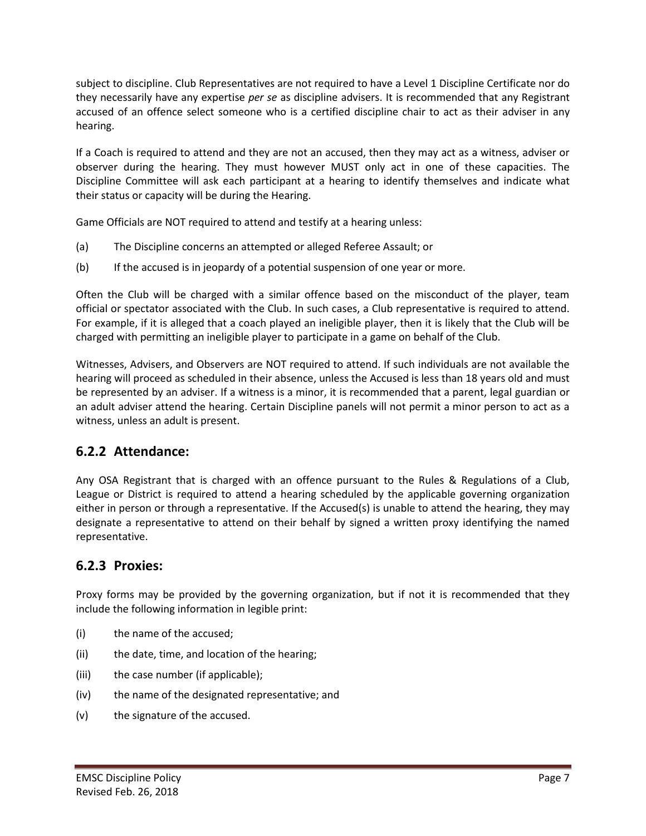subject to discipline. Club Representatives are not required to have a Level 1 Discipline Certificate nor do they necessarily have any expertise *per se* as discipline advisers. It is recommended that any Registrant accused of an offence select someone who is a certified discipline chair to act as their adviser in any hearing.

If a Coach is required to attend and they are not an accused, then they may act as a witness, adviser or observer during the hearing. They must however MUST only act in one of these capacities. The Discipline Committee will ask each participant at a hearing to identify themselves and indicate what their status or capacity will be during the Hearing.

Game Officials are NOT required to attend and testify at a hearing unless:

- (a) The Discipline concerns an attempted or alleged Referee Assault; or
- (b) If the accused is in jeopardy of a potential suspension of one year or more.

Often the Club will be charged with a similar offence based on the misconduct of the player, team official or spectator associated with the Club. In such cases, a Club representative is required to attend. For example, if it is alleged that a coach played an ineligible player, then it is likely that the Club will be charged with permitting an ineligible player to participate in a game on behalf of the Club.

Witnesses, Advisers, and Observers are NOT required to attend. If such individuals are not available the hearing will proceed as scheduled in their absence, unless the Accused is less than 18 years old and must be represented by an adviser. If a witness is a minor, it is recommended that a parent, legal guardian or an adult adviser attend the hearing. Certain Discipline panels will not permit a minor person to act as a witness, unless an adult is present.

# **6.2.2 Attendance:**

Any OSA Registrant that is charged with an offence pursuant to the Rules & Regulations of a Club, League or District is required to attend a hearing scheduled by the applicable governing organization either in person or through a representative. If the Accused(s) is unable to attend the hearing, they may designate a representative to attend on their behalf by signed a written proxy identifying the named representative.

# **6.2.3 Proxies:**

Proxy forms may be provided by the governing organization, but if not it is recommended that they include the following information in legible print:

- (i) the name of the accused;
- (ii) the date, time, and location of the hearing;
- (iii) the case number (if applicable);
- (iv) the name of the designated representative; and
- (v) the signature of the accused.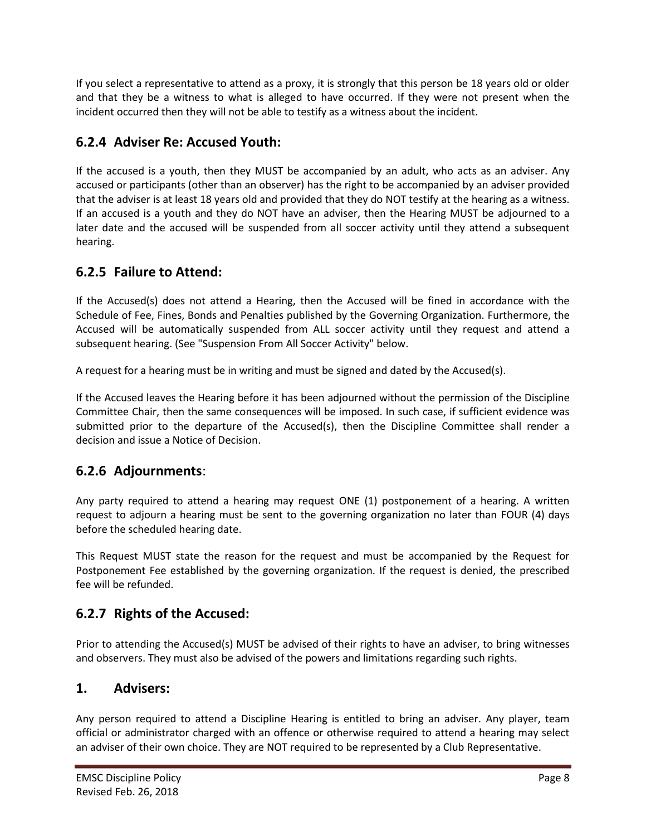If you select a representative to attend as a proxy, it is strongly that this person be 18 years old or older and that they be a witness to what is alleged to have occurred. If they were not present when the incident occurred then they will not be able to testify as a witness about the incident.

# **6.2.4 Adviser Re: Accused Youth:**

If the accused is a youth, then they MUST be accompanied by an adult, who acts as an adviser. Any accused or participants (other than an observer) has the right to be accompanied by an adviser provided that the adviser is at least 18 years old and provided that they do NOT testify at the hearing as a witness. If an accused is a youth and they do NOT have an adviser, then the Hearing MUST be adjourned to a later date and the accused will be suspended from all soccer activity until they attend a subsequent hearing.

# **6.2.5 Failure to Attend:**

If the Accused(s) does not attend a Hearing, then the Accused will be fined in accordance with the Schedule of Fee, Fines, Bonds and Penalties published by the Governing Organization. Furthermore, the Accused will be automatically suspended from ALL soccer activity until they request and attend a subsequent hearing. (See "Suspension From All Soccer Activity" below.

A request for a hearing must be in writing and must be signed and dated by the Accused(s).

If the Accused leaves the Hearing before it has been adjourned without the permission of the Discipline Committee Chair, then the same consequences will be imposed. In such case, if sufficient evidence was submitted prior to the departure of the Accused(s), then the Discipline Committee shall render a decision and issue a Notice of Decision.

# **6.2.6 Adjournments**:

Any party required to attend a hearing may request ONE (1) postponement of a hearing. A written request to adjourn a hearing must be sent to the governing organization no later than FOUR (4) days before the scheduled hearing date.

This Request MUST state the reason for the request and must be accompanied by the Request for Postponement Fee established by the governing organization. If the request is denied, the prescribed fee will be refunded.

# **6.2.7 Rights of the Accused:**

Prior to attending the Accused(s) MUST be advised of their rights to have an adviser, to bring witnesses and observers. They must also be advised of the powers and limitations regarding such rights.

# **1. Advisers:**

Any person required to attend a Discipline Hearing is entitled to bring an adviser. Any player, team official or administrator charged with an offence or otherwise required to attend a hearing may select an adviser of their own choice. They are NOT required to be represented by a Club Representative.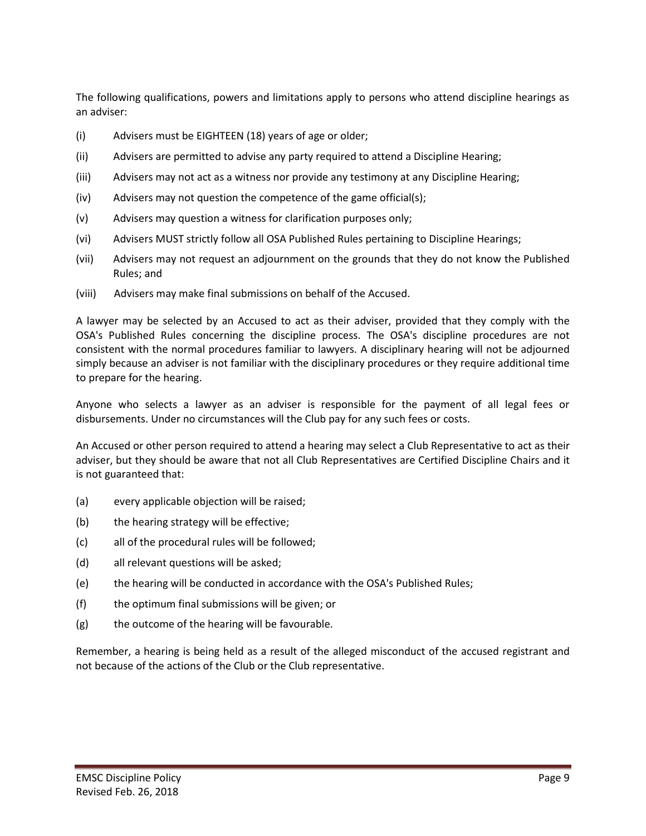The following qualifications, powers and limitations apply to persons who attend discipline hearings as an adviser:

- (i) Advisers must be EIGHTEEN (18) years of age or older;
- (ii) Advisers are permitted to advise any party required to attend a Discipline Hearing;
- (iii) Advisers may not act as a witness nor provide any testimony at any Discipline Hearing;
- (iv) Advisers may not question the competence of the game official(s);
- (v) Advisers may question a witness for clarification purposes only;
- (vi) Advisers MUST strictly follow all OSA Published Rules pertaining to Discipline Hearings;
- (vii) Advisers may not request an adjournment on the grounds that they do not know the Published Rules; and
- (viii) Advisers may make final submissions on behalf of the Accused.

A lawyer may be selected by an Accused to act as their adviser, provided that they comply with the OSA's Published Rules concerning the discipline process. The OSA's discipline procedures are not consistent with the normal procedures familiar to lawyers. A disciplinary hearing will not be adjourned simply because an adviser is not familiar with the disciplinary procedures or they require additional time to prepare for the hearing.

Anyone who selects a lawyer as an adviser is responsible for the payment of all legal fees or disbursements. Under no circumstances will the Club pay for any such fees or costs.

An Accused or other person required to attend a hearing may select a Club Representative to act as their adviser, but they should be aware that not all Club Representatives are Certified Discipline Chairs and it is not guaranteed that:

- (a) every applicable objection will be raised;
- (b) the hearing strategy will be effective;
- (c) all of the procedural rules will be followed;
- (d) all relevant questions will be asked;
- (e) the hearing will be conducted in accordance with the OSA's Published Rules;
- (f) the optimum final submissions will be given; or
- $(g)$  the outcome of the hearing will be favourable.

Remember, a hearing is being held as a result of the alleged misconduct of the accused registrant and not because of the actions of the Club or the Club representative.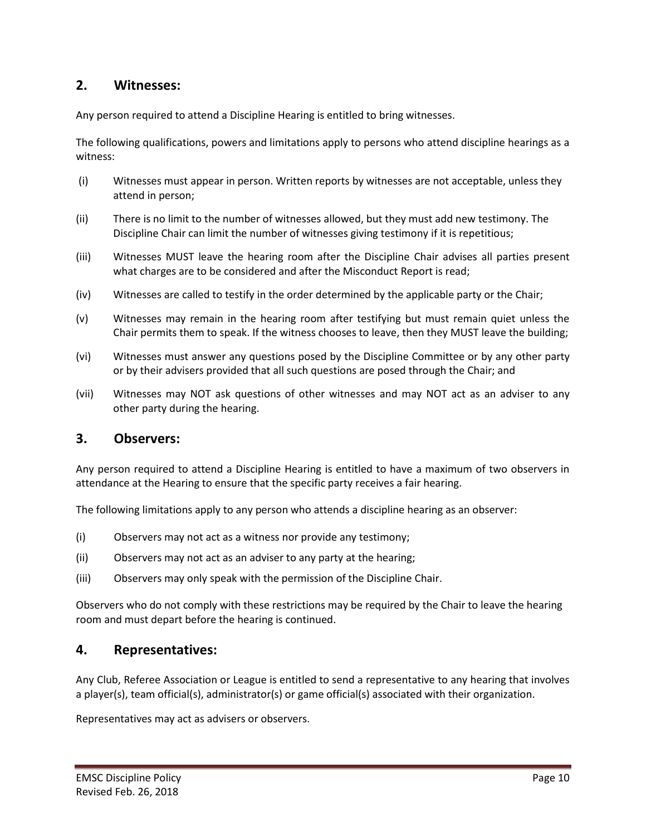### **2. Witnesses:**

Any person required to attend a Discipline Hearing is entitled to bring witnesses.

The following qualifications, powers and limitations apply to persons who attend discipline hearings as a witness:

- (i) Witnesses must appear in person. Written reports by witnesses are not acceptable, unless they attend in person;
- (ii) There is no limit to the number of witnesses allowed, but they must add new testimony. The Discipline Chair can limit the number of witnesses giving testimony if it is repetitious;
- (iii) Witnesses MUST leave the hearing room after the Discipline Chair advises all parties present what charges are to be considered and after the Misconduct Report is read;
- (iv) Witnesses are called to testify in the order determined by the applicable party or the Chair;
- (v) Witnesses may remain in the hearing room after testifying but must remain quiet unless the Chair permits them to speak. If the witness chooses to leave, then they MUST leave the building;
- (vi) Witnesses must answer any questions posed by the Discipline Committee or by any other party or by their advisers provided that all such questions are posed through the Chair; and
- (vii) Witnesses may NOT ask questions of other witnesses and may NOT act as an adviser to any other party during the hearing.

#### **3. Observers:**

Any person required to attend a Discipline Hearing is entitled to have a maximum of two observers in attendance at the Hearing to ensure that the specific party receives a fair hearing.

The following limitations apply to any person who attends a discipline hearing as an observer:

- (i) Observers may not act as a witness nor provide any testimony;
- (ii) Observers may not act as an adviser to any party at the hearing;
- (iii) Observers may only speak with the permission of the Discipline Chair.

Observers who do not comply with these restrictions may be required by the Chair to leave the hearing room and must depart before the hearing is continued.

#### **4. Representatives:**

Any Club, Referee Association or League is entitled to send a representative to any hearing that involves a player(s), team official(s), administrator(s) or game official(s) associated with their organization.

Representatives may act as advisers or observers.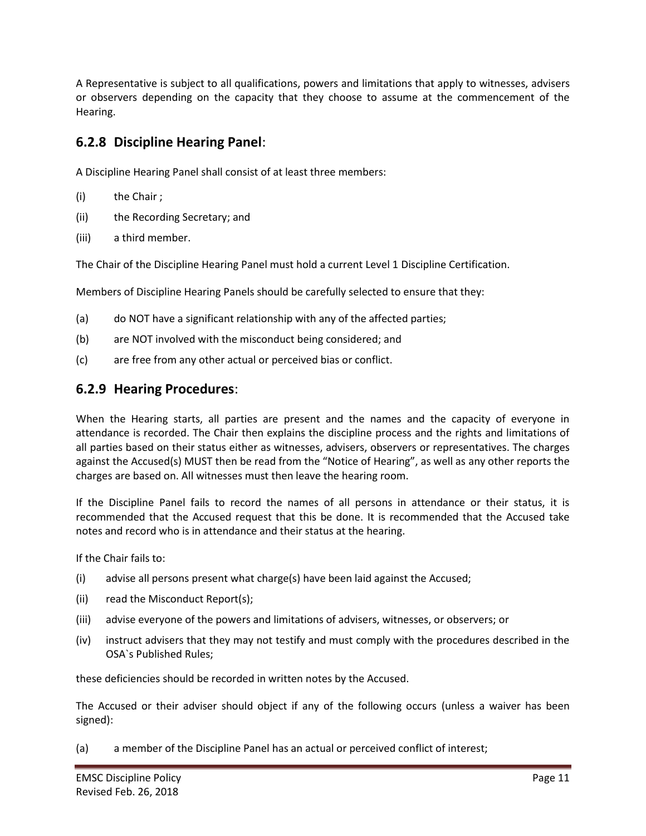A Representative is subject to all qualifications, powers and limitations that apply to witnesses, advisers or observers depending on the capacity that they choose to assume at the commencement of the Hearing.

### **6.2.8 Discipline Hearing Panel**:

A Discipline Hearing Panel shall consist of at least three members:

- (i) the Chair ;
- (ii) the Recording Secretary; and
- (iii) a third member.

The Chair of the Discipline Hearing Panel must hold a current Level 1 Discipline Certification.

Members of Discipline Hearing Panels should be carefully selected to ensure that they:

- (a) do NOT have a significant relationship with any of the affected parties;
- (b) are NOT involved with the misconduct being considered; and
- (c) are free from any other actual or perceived bias or conflict.

### **6.2.9 Hearing Procedures**:

When the Hearing starts, all parties are present and the names and the capacity of everyone in attendance is recorded. The Chair then explains the discipline process and the rights and limitations of all parties based on their status either as witnesses, advisers, observers or representatives. The charges against the Accused(s) MUST then be read from the "Notice of Hearing", as well as any other reports the charges are based on. All witnesses must then leave the hearing room.

If the Discipline Panel fails to record the names of all persons in attendance or their status, it is recommended that the Accused request that this be done. It is recommended that the Accused take notes and record who is in attendance and their status at the hearing.

If the Chair fails to:

- (i) advise all persons present what charge(s) have been laid against the Accused;
- (ii) read the Misconduct Report(s);
- (iii) advise everyone of the powers and limitations of advisers, witnesses, or observers; or
- (iv) instruct advisers that they may not testify and must comply with the procedures described in the OSA`s Published Rules;

these deficiencies should be recorded in written notes by the Accused.

The Accused or their adviser should object if any of the following occurs (unless a waiver has been signed):

(a) a member of the Discipline Panel has an actual or perceived conflict of interest;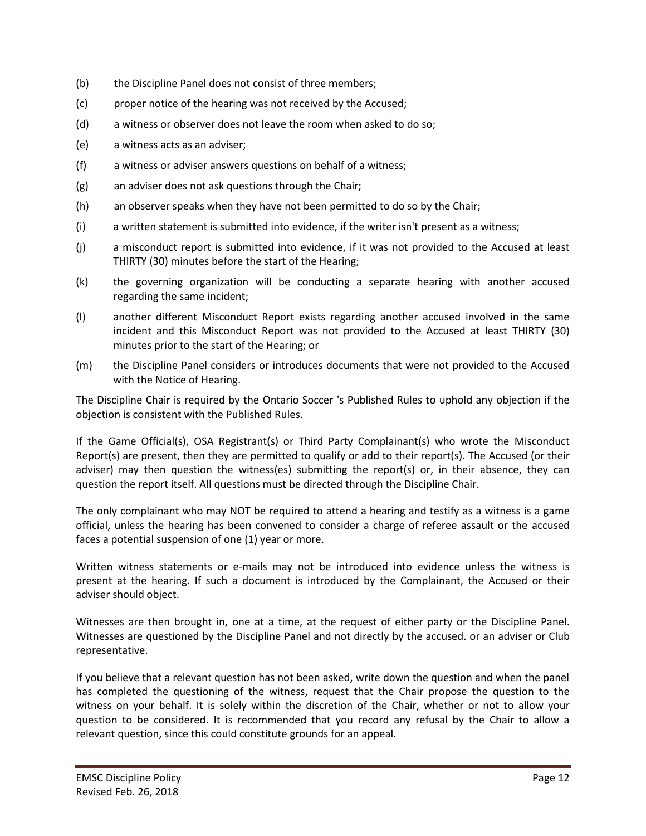- (b) the Discipline Panel does not consist of three members;
- (c) proper notice of the hearing was not received by the Accused;
- (d) a witness or observer does not leave the room when asked to do so;
- (e) a witness acts as an adviser;
- (f) a witness or adviser answers questions on behalf of a witness;
- (g) an adviser does not ask questions through the Chair;
- (h) an observer speaks when they have not been permitted to do so by the Chair;
- (i) a written statement is submitted into evidence, if the writer isn't present as a witness;
- (j) a misconduct report is submitted into evidence, if it was not provided to the Accused at least THIRTY (30) minutes before the start of the Hearing;
- (k) the governing organization will be conducting a separate hearing with another accused regarding the same incident;
- (l) another different Misconduct Report exists regarding another accused involved in the same incident and this Misconduct Report was not provided to the Accused at least THIRTY (30) minutes prior to the start of the Hearing; or
- (m) the Discipline Panel considers or introduces documents that were not provided to the Accused with the Notice of Hearing.

The Discipline Chair is required by the Ontario Soccer 's Published Rules to uphold any objection if the objection is consistent with the Published Rules.

If the Game Official(s), OSA Registrant(s) or Third Party Complainant(s) who wrote the Misconduct Report(s) are present, then they are permitted to qualify or add to their report(s). The Accused (or their adviser) may then question the witness(es) submitting the report(s) or, in their absence, they can question the report itself. All questions must be directed through the Discipline Chair.

The only complainant who may NOT be required to attend a hearing and testify as a witness is a game official, unless the hearing has been convened to consider a charge of referee assault or the accused faces a potential suspension of one (1) year or more.

Written witness statements or e-mails may not be introduced into evidence unless the witness is present at the hearing. If such a document is introduced by the Complainant, the Accused or their adviser should object.

Witnesses are then brought in, one at a time, at the request of either party or the Discipline Panel. Witnesses are questioned by the Discipline Panel and not directly by the accused. or an adviser or Club representative.

If you believe that a relevant question has not been asked, write down the question and when the panel has completed the questioning of the witness, request that the Chair propose the question to the witness on your behalf. It is solely within the discretion of the Chair, whether or not to allow your question to be considered. It is recommended that you record any refusal by the Chair to allow a relevant question, since this could constitute grounds for an appeal.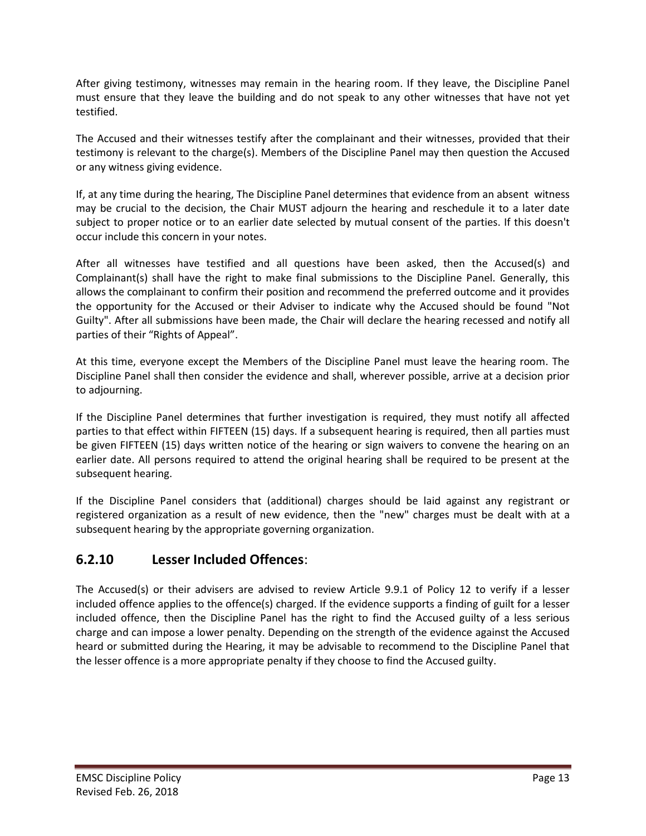After giving testimony, witnesses may remain in the hearing room. If they leave, the Discipline Panel must ensure that they leave the building and do not speak to any other witnesses that have not yet testified.

The Accused and their witnesses testify after the complainant and their witnesses, provided that their testimony is relevant to the charge(s). Members of the Discipline Panel may then question the Accused or any witness giving evidence.

If, at any time during the hearing, The Discipline Panel determines that evidence from an absent witness may be crucial to the decision, the Chair MUST adjourn the hearing and reschedule it to a later date subject to proper notice or to an earlier date selected by mutual consent of the parties. If this doesn't occur include this concern in your notes.

After all witnesses have testified and all questions have been asked, then the Accused(s) and Complainant(s) shall have the right to make final submissions to the Discipline Panel. Generally, this allows the complainant to confirm their position and recommend the preferred outcome and it provides the opportunity for the Accused or their Adviser to indicate why the Accused should be found "Not Guilty". After all submissions have been made, the Chair will declare the hearing recessed and notify all parties of their "Rights of Appeal".

At this time, everyone except the Members of the Discipline Panel must leave the hearing room. The Discipline Panel shall then consider the evidence and shall, wherever possible, arrive at a decision prior to adjourning.

If the Discipline Panel determines that further investigation is required, they must notify all affected parties to that effect within FIFTEEN (15) days. If a subsequent hearing is required, then all parties must be given FIFTEEN (15) days written notice of the hearing or sign waivers to convene the hearing on an earlier date. All persons required to attend the original hearing shall be required to be present at the subsequent hearing.

If the Discipline Panel considers that (additional) charges should be laid against any registrant or registered organization as a result of new evidence, then the "new" charges must be dealt with at a subsequent hearing by the appropriate governing organization.

# **6.2.10 Lesser Included Offences**:

The Accused(s) or their advisers are advised to review Article 9.9.1 of Policy 12 to verify if a lesser included offence applies to the offence(s) charged. If the evidence supports a finding of guilt for a lesser included offence, then the Discipline Panel has the right to find the Accused guilty of a less serious charge and can impose a lower penalty. Depending on the strength of the evidence against the Accused heard or submitted during the Hearing, it may be advisable to recommend to the Discipline Panel that the lesser offence is a more appropriate penalty if they choose to find the Accused guilty.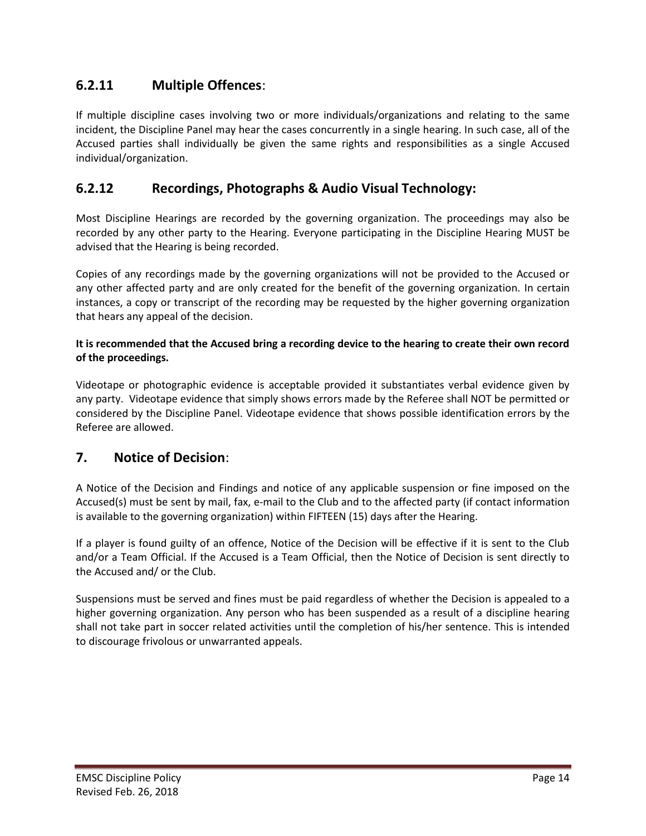# **6.2.11 Multiple Offences**:

If multiple discipline cases involving two or more individuals/organizations and relating to the same incident, the Discipline Panel may hear the cases concurrently in a single hearing. In such case, all of the Accused parties shall individually be given the same rights and responsibilities as a single Accused individual/organization.

### **6.2.12 Recordings, Photographs & Audio Visual Technology:**

Most Discipline Hearings are recorded by the governing organization. The proceedings may also be recorded by any other party to the Hearing. Everyone participating in the Discipline Hearing MUST be advised that the Hearing is being recorded.

Copies of any recordings made by the governing organizations will not be provided to the Accused or any other affected party and are only created for the benefit of the governing organization. In certain instances, a copy or transcript of the recording may be requested by the higher governing organization that hears any appeal of the decision.

#### **It is recommended that the Accused bring a recording device to the hearing to create their own record of the proceedings.**

Videotape or photographic evidence is acceptable provided it substantiates verbal evidence given by any party. Videotape evidence that simply shows errors made by the Referee shall NOT be permitted or considered by the Discipline Panel. Videotape evidence that shows possible identification errors by the Referee are allowed.

### **7. Notice of Decision**:

A Notice of the Decision and Findings and notice of any applicable suspension or fine imposed on the Accused(s) must be sent by mail, fax, e-mail to the Club and to the affected party (if contact information is available to the governing organization) within FIFTEEN (15) days after the Hearing.

If a player is found guilty of an offence, Notice of the Decision will be effective if it is sent to the Club and/or a Team Official. If the Accused is a Team Official, then the Notice of Decision is sent directly to the Accused and/ or the Club.

Suspensions must be served and fines must be paid regardless of whether the Decision is appealed to a higher governing organization. Any person who has been suspended as a result of a discipline hearing shall not take part in soccer related activities until the completion of his/her sentence. This is intended to discourage frivolous or unwarranted appeals.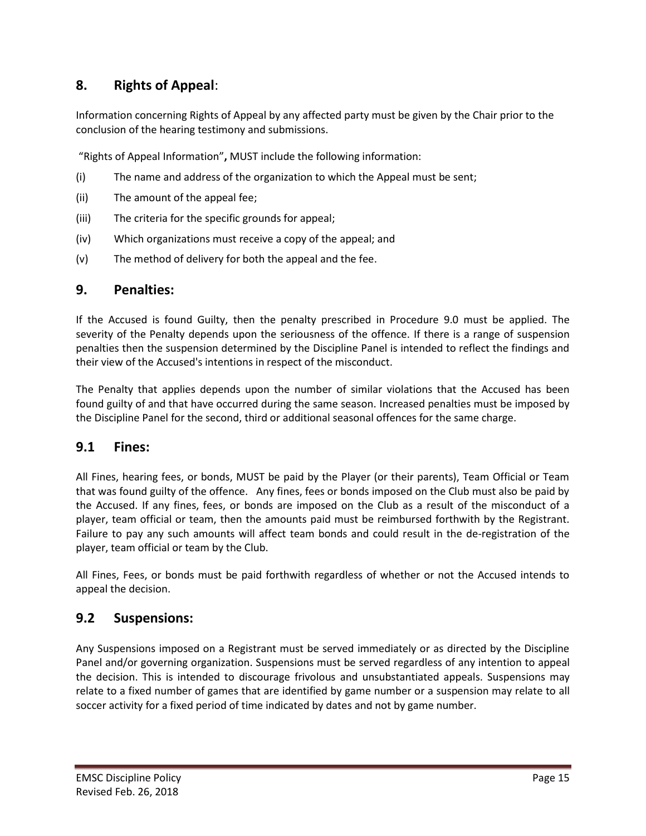# **8. Rights of Appeal**:

Information concerning Rights of Appeal by any affected party must be given by the Chair prior to the conclusion of the hearing testimony and submissions.

"Rights of Appeal Information"**,** MUST include the following information:

- (i) The name and address of the organization to which the Appeal must be sent;
- (ii) The amount of the appeal fee;
- (iii) The criteria for the specific grounds for appeal;
- (iv) Which organizations must receive a copy of the appeal; and
- (v) The method of delivery for both the appeal and the fee.

#### **9. Penalties:**

If the Accused is found Guilty, then the penalty prescribed in Procedure 9.0 must be applied. The severity of the Penalty depends upon the seriousness of the offence. If there is a range of suspension penalties then the suspension determined by the Discipline Panel is intended to reflect the findings and their view of the Accused's intentions in respect of the misconduct.

The Penalty that applies depends upon the number of similar violations that the Accused has been found guilty of and that have occurred during the same season. Increased penalties must be imposed by the Discipline Panel for the second, third or additional seasonal offences for the same charge.

#### **9.1 Fines:**

All Fines, hearing fees, or bonds, MUST be paid by the Player (or their parents), Team Official or Team that was found guilty of the offence. Any fines, fees or bonds imposed on the Club must also be paid by the Accused. If any fines, fees, or bonds are imposed on the Club as a result of the misconduct of a player, team official or team, then the amounts paid must be reimbursed forthwith by the Registrant. Failure to pay any such amounts will affect team bonds and could result in the de-registration of the player, team official or team by the Club.

All Fines, Fees, or bonds must be paid forthwith regardless of whether or not the Accused intends to appeal the decision.

### **9.2 Suspensions:**

Any Suspensions imposed on a Registrant must be served immediately or as directed by the Discipline Panel and/or governing organization. Suspensions must be served regardless of any intention to appeal the decision. This is intended to discourage frivolous and unsubstantiated appeals. Suspensions may relate to a fixed number of games that are identified by game number or a suspension may relate to all soccer activity for a fixed period of time indicated by dates and not by game number.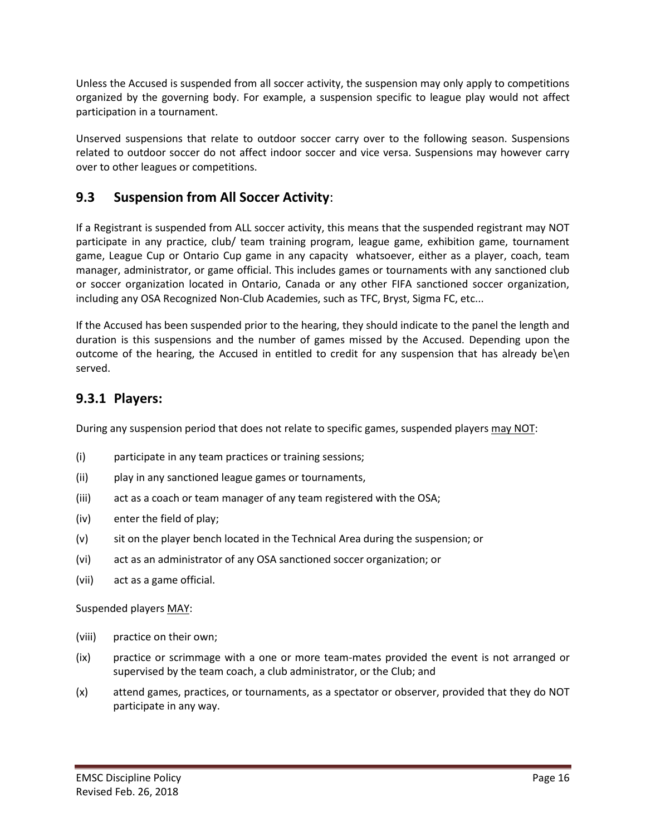Unless the Accused is suspended from all soccer activity, the suspension may only apply to competitions organized by the governing body. For example, a suspension specific to league play would not affect participation in a tournament.

Unserved suspensions that relate to outdoor soccer carry over to the following season. Suspensions related to outdoor soccer do not affect indoor soccer and vice versa. Suspensions may however carry over to other leagues or competitions.

# **9.3 Suspension from All Soccer Activity**:

If a Registrant is suspended from ALL soccer activity, this means that the suspended registrant may NOT participate in any practice, club/ team training program, league game, exhibition game, tournament game, League Cup or Ontario Cup game in any capacity whatsoever, either as a player, coach, team manager, administrator, or game official. This includes games or tournaments with any sanctioned club or soccer organization located in Ontario, Canada or any other FIFA sanctioned soccer organization, including any OSA Recognized Non-Club Academies, such as TFC, Bryst, Sigma FC, etc...

If the Accused has been suspended prior to the hearing, they should indicate to the panel the length and duration is this suspensions and the number of games missed by the Accused. Depending upon the outcome of the hearing, the Accused in entitled to credit for any suspension that has already be\en served.

### **9.3.1 Players:**

During any suspension period that does not relate to specific games, suspended players may NOT:

- (i) participate in any team practices or training sessions;
- (ii) play in any sanctioned league games or tournaments,
- (iii) act as a coach or team manager of any team registered with the OSA;
- (iv) enter the field of play;
- (v) sit on the player bench located in the Technical Area during the suspension; or
- (vi) act as an administrator of any OSA sanctioned soccer organization; or
- (vii) act as a game official.

Suspended players MAY:

- (viii) practice on their own;
- (ix) practice or scrimmage with a one or more team-mates provided the event is not arranged or supervised by the team coach, a club administrator, or the Club; and
- (x) attend games, practices, or tournaments, as a spectator or observer, provided that they do NOT participate in any way.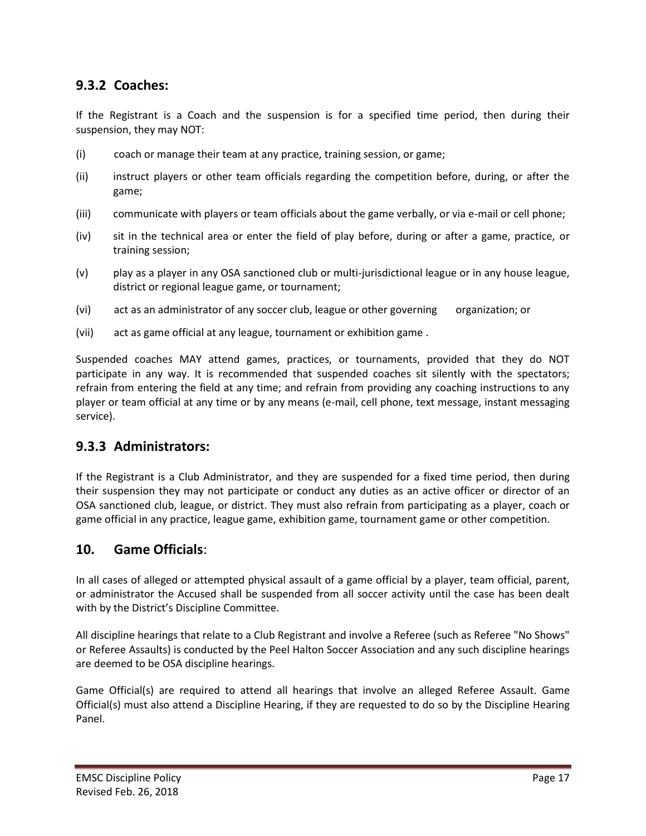# **9.3.2 Coaches:**

If the Registrant is a Coach and the suspension is for a specified time period, then during their suspension, they may NOT:

- (i) coach or manage their team at any practice, training session, or game;
- (ii) instruct players or other team officials regarding the competition before, during, or after the game;
- (iii) communicate with players or team officials about the game verbally, or via e-mail or cell phone;
- (iv) sit in the technical area or enter the field of play before, during or after a game, practice, or training session;
- (v) play as a player in any OSA sanctioned club or multi-jurisdictional league or in any house league, district or regional league game, or tournament;
- (vi) act as an administrator of any soccer club, league or other governing organization; or
- (vii) act as game official at any league, tournament or exhibition game .

Suspended coaches MAY attend games, practices, or tournaments, provided that they do NOT participate in any way. It is recommended that suspended coaches sit silently with the spectators; refrain from entering the field at any time; and refrain from providing any coaching instructions to any player or team official at any time or by any means (e-mail, cell phone, text message, instant messaging service).

### **9.3.3 Administrators:**

If the Registrant is a Club Administrator, and they are suspended for a fixed time period, then during their suspension they may not participate or conduct any duties as an active officer or director of an OSA sanctioned club, league, or district. They must also refrain from participating as a player, coach or game official in any practice, league game, exhibition game, tournament game or other competition.

### **10. Game Officials**:

In all cases of alleged or attempted physical assault of a game official by a player, team official, parent, or administrator the Accused shall be suspended from all soccer activity until the case has been dealt with by the District's Discipline Committee.

All discipline hearings that relate to a Club Registrant and involve a Referee (such as Referee "No Shows" or Referee Assaults) is conducted by the Peel Halton Soccer Association and any such discipline hearings are deemed to be OSA discipline hearings.

Game Official(s) are required to attend all hearings that involve an alleged Referee Assault. Game Official(s) must also attend a Discipline Hearing, if they are requested to do so by the Discipline Hearing Panel.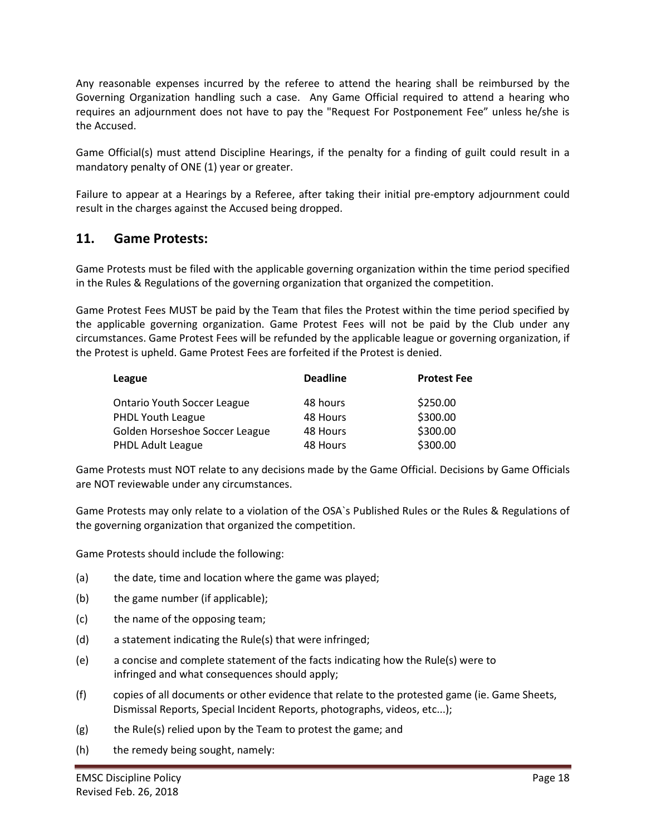Any reasonable expenses incurred by the referee to attend the hearing shall be reimbursed by the Governing Organization handling such a case. Any Game Official required to attend a hearing who requires an adjournment does not have to pay the "Request For Postponement Fee" unless he/she is the Accused.

Game Official(s) must attend Discipline Hearings, if the penalty for a finding of guilt could result in a mandatory penalty of ONE (1) year or greater.

Failure to appear at a Hearings by a Referee, after taking their initial pre-emptory adjournment could result in the charges against the Accused being dropped.

### **11. Game Protests:**

Game Protests must be filed with the applicable governing organization within the time period specified in the Rules & Regulations of the governing organization that organized the competition.

Game Protest Fees MUST be paid by the Team that files the Protest within the time period specified by the applicable governing organization. Game Protest Fees will not be paid by the Club under any circumstances. Game Protest Fees will be refunded by the applicable league or governing organization, if the Protest is upheld. Game Protest Fees are forfeited if the Protest is denied.

| League                             | <b>Deadline</b> | <b>Protest Fee</b> |
|------------------------------------|-----------------|--------------------|
| <b>Ontario Youth Soccer League</b> | 48 hours        | \$250.00           |
| <b>PHDL Youth League</b>           | 48 Hours        | \$300.00           |
| Golden Horseshoe Soccer League     | 48 Hours        | \$300.00           |
| PHDL Adult League                  | 48 Hours        | \$300.00           |

Game Protests must NOT relate to any decisions made by the Game Official. Decisions by Game Officials are NOT reviewable under any circumstances.

Game Protests may only relate to a violation of the OSA`s Published Rules or the Rules & Regulations of the governing organization that organized the competition.

Game Protests should include the following:

- (a) the date, time and location where the game was played;
- (b) the game number (if applicable);
- (c) the name of the opposing team;
- (d) a statement indicating the Rule(s) that were infringed;
- (e) a concise and complete statement of the facts indicating how the Rule(s) were to infringed and what consequences should apply;
- (f) copies of all documents or other evidence that relate to the protested game (ie. Game Sheets, Dismissal Reports, Special Incident Reports, photographs, videos, etc...);
- (g) the Rule(s) relied upon by the Team to protest the game; and
- (h) the remedy being sought, namely: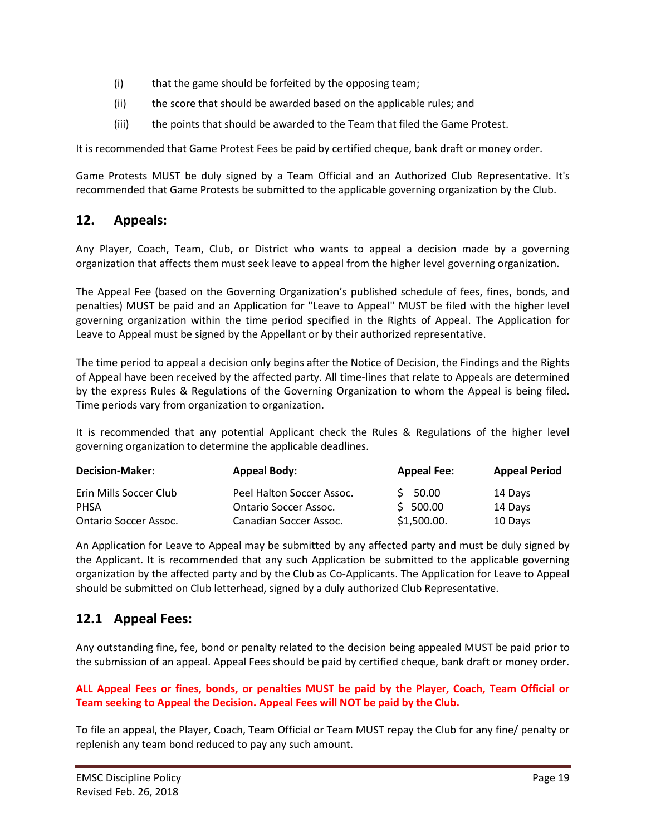- (i) that the game should be forfeited by the opposing team;
- (ii) the score that should be awarded based on the applicable rules; and
- (iii) the points that should be awarded to the Team that filed the Game Protest.

It is recommended that Game Protest Fees be paid by certified cheque, bank draft or money order.

Game Protests MUST be duly signed by a Team Official and an Authorized Club Representative. It's recommended that Game Protests be submitted to the applicable governing organization by the Club.

### **12. Appeals:**

Any Player, Coach, Team, Club, or District who wants to appeal a decision made by a governing organization that affects them must seek leave to appeal from the higher level governing organization.

The Appeal Fee (based on the Governing Organization's published schedule of fees, fines, bonds, and penalties) MUST be paid and an Application for "Leave to Appeal" MUST be filed with the higher level governing organization within the time period specified in the Rights of Appeal. The Application for Leave to Appeal must be signed by the Appellant or by their authorized representative.

The time period to appeal a decision only begins after the Notice of Decision, the Findings and the Rights of Appeal have been received by the affected party. All time-lines that relate to Appeals are determined by the express Rules & Regulations of the Governing Organization to whom the Appeal is being filed. Time periods vary from organization to organization.

It is recommended that any potential Applicant check the Rules & Regulations of the higher level governing organization to determine the applicable deadlines.

| <b>Decision-Maker:</b>       | <b>Appeal Body:</b>          | <b>Appeal Fee:</b> | <b>Appeal Period</b> |
|------------------------------|------------------------------|--------------------|----------------------|
| Erin Mills Soccer Club       | Peel Halton Soccer Assoc.    | $5\,50.00$         | 14 Days              |
| PHSA                         | <b>Ontario Soccer Assoc.</b> | $5\,500.00$        | 14 Days              |
| <b>Ontario Soccer Assoc.</b> | Canadian Soccer Assoc.       | \$1,500.00.        | 10 Days              |

An Application for Leave to Appeal may be submitted by any affected party and must be duly signed by the Applicant. It is recommended that any such Application be submitted to the applicable governing organization by the affected party and by the Club as Co-Applicants. The Application for Leave to Appeal should be submitted on Club letterhead, signed by a duly authorized Club Representative.

# **12.1 Appeal Fees:**

Any outstanding fine, fee, bond or penalty related to the decision being appealed MUST be paid prior to the submission of an appeal. Appeal Fees should be paid by certified cheque, bank draft or money order.

#### **ALL Appeal Fees or fines, bonds, or penalties MUST be paid by the Player, Coach, Team Official or Team seeking to Appeal the Decision. Appeal Fees will NOT be paid by the Club.**

To file an appeal, the Player, Coach, Team Official or Team MUST repay the Club for any fine/ penalty or replenish any team bond reduced to pay any such amount.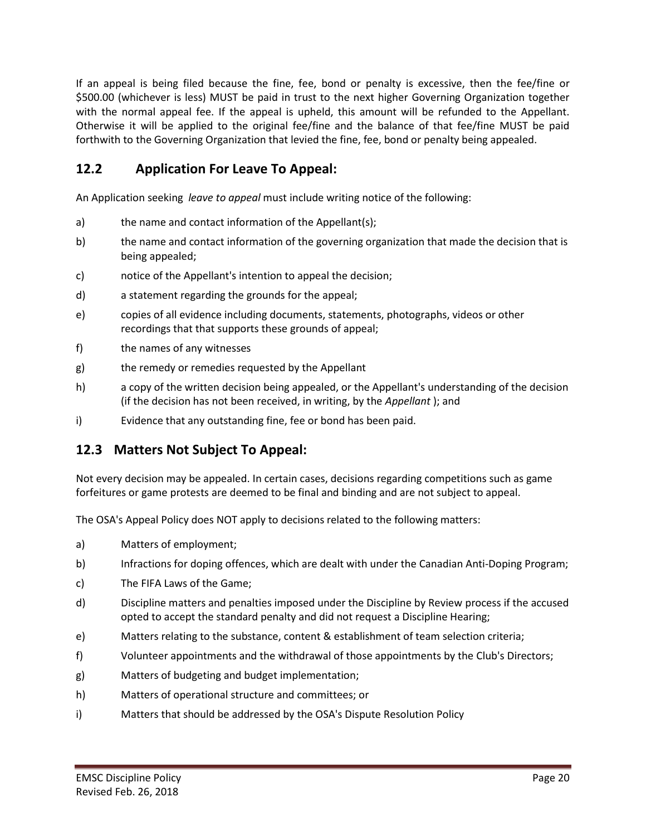If an appeal is being filed because the fine, fee, bond or penalty is excessive, then the fee/fine or \$500.00 (whichever is less) MUST be paid in trust to the next higher Governing Organization together with the normal appeal fee. If the appeal is upheld, this amount will be refunded to the Appellant. Otherwise it will be applied to the original fee/fine and the balance of that fee/fine MUST be paid forthwith to the Governing Organization that levied the fine, fee, bond or penalty being appealed.

# **12.2 Application For Leave To Appeal:**

An Application seeking *leave to appeal* must include writing notice of the following:

- a) the name and contact information of the Appellant(s);
- b) the name and contact information of the governing organization that made the decision that is being appealed;
- c) notice of the Appellant's intention to appeal the decision;
- d) a statement regarding the grounds for the appeal;
- e) copies of all evidence including documents, statements, photographs, videos or other recordings that that supports these grounds of appeal;
- f) the names of any witnesses
- g) the remedy or remedies requested by the Appellant
- h) a copy of the written decision being appealed, or the Appellant's understanding of the decision (if the decision has not been received, in writing, by the *Appellant* ); and
- i) Evidence that any outstanding fine, fee or bond has been paid.

# **12.3 Matters Not Subject To Appeal:**

Not every decision may be appealed. In certain cases, decisions regarding competitions such as game forfeitures or game protests are deemed to be final and binding and are not subject to appeal.

The OSA's Appeal Policy does NOT apply to decisions related to the following matters:

- a) Matters of employment;
- b) Infractions for doping offences, which are dealt with under the Canadian Anti-Doping Program;
- c) The FIFA Laws of the Game;
- d) Discipline matters and penalties imposed under the Discipline by Review process if the accused opted to accept the standard penalty and did not request a Discipline Hearing;
- e) Matters relating to the substance, content & establishment of team selection criteria;
- f) Volunteer appointments and the withdrawal of those appointments by the Club's Directors;
- g) Matters of budgeting and budget implementation;
- h) Matters of operational structure and committees; or
- i) Matters that should be addressed by the OSA's Dispute Resolution Policy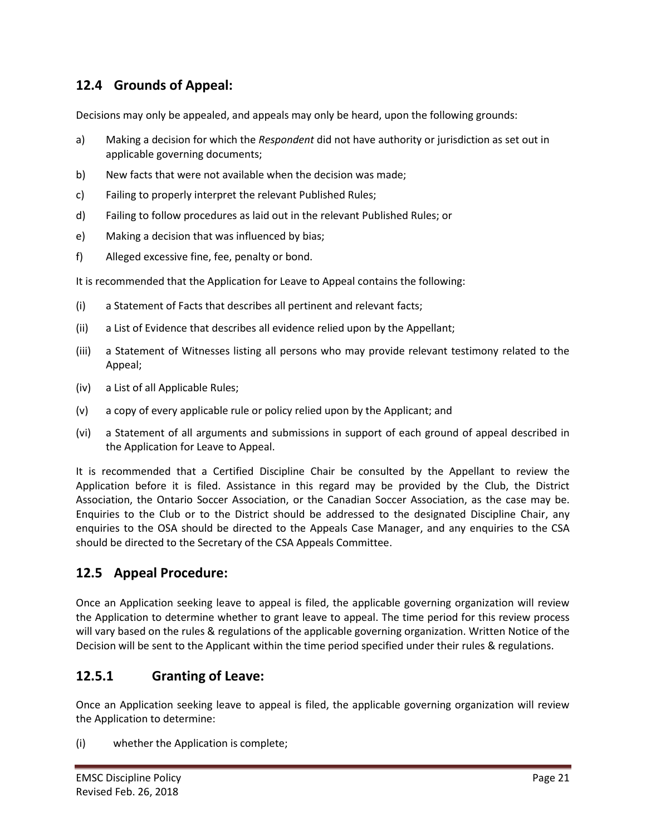# **12.4 Grounds of Appeal:**

Decisions may only be appealed, and appeals may only be heard, upon the following grounds:

- a) Making a decision for which the *Respondent* did not have authority or jurisdiction as set out in applicable governing documents;
- b) New facts that were not available when the decision was made;
- c) Failing to properly interpret the relevant Published Rules;
- d) Failing to follow procedures as laid out in the relevant Published Rules; or
- e) Making a decision that was influenced by bias;
- f) Alleged excessive fine, fee, penalty or bond.

It is recommended that the Application for Leave to Appeal contains the following:

- (i) a Statement of Facts that describes all pertinent and relevant facts;
- (ii) a List of Evidence that describes all evidence relied upon by the Appellant;
- (iii) a Statement of Witnesses listing all persons who may provide relevant testimony related to the Appeal;
- (iv) a List of all Applicable Rules;
- (v) a copy of every applicable rule or policy relied upon by the Applicant; and
- (vi) a Statement of all arguments and submissions in support of each ground of appeal described in the Application for Leave to Appeal.

It is recommended that a Certified Discipline Chair be consulted by the Appellant to review the Application before it is filed. Assistance in this regard may be provided by the Club, the District Association, the Ontario Soccer Association, or the Canadian Soccer Association, as the case may be. Enquiries to the Club or to the District should be addressed to the designated Discipline Chair, any enquiries to the OSA should be directed to the Appeals Case Manager, and any enquiries to the CSA should be directed to the Secretary of the CSA Appeals Committee.

### **12.5 Appeal Procedure:**

Once an Application seeking leave to appeal is filed, the applicable governing organization will review the Application to determine whether to grant leave to appeal. The time period for this review process will vary based on the rules & regulations of the applicable governing organization. Written Notice of the Decision will be sent to the Applicant within the time period specified under their rules & regulations.

### **12.5.1 Granting of Leave:**

Once an Application seeking leave to appeal is filed, the applicable governing organization will review the Application to determine:

(i) whether the Application is complete;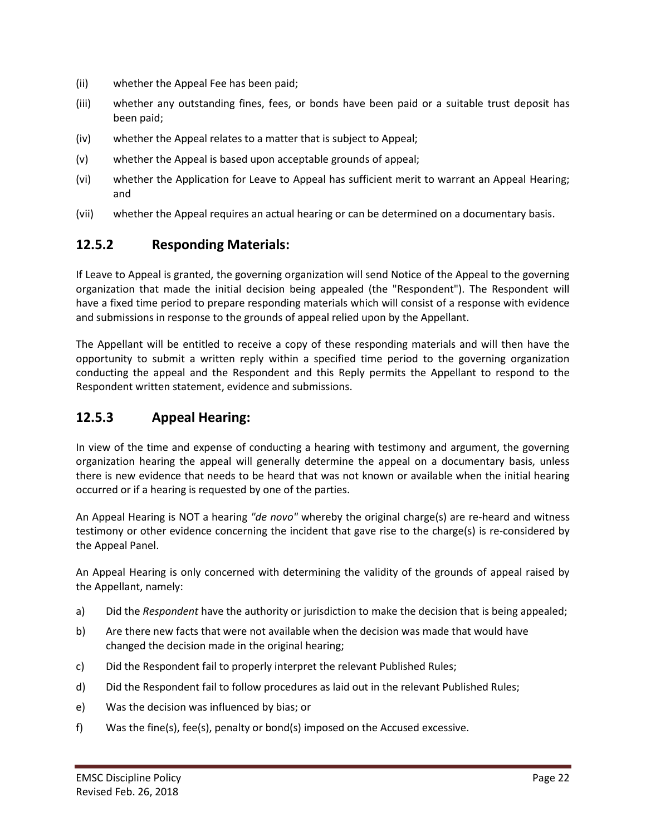- (ii) whether the Appeal Fee has been paid;
- (iii) whether any outstanding fines, fees, or bonds have been paid or a suitable trust deposit has been paid;
- (iv) whether the Appeal relates to a matter that is subject to Appeal;
- (v) whether the Appeal is based upon acceptable grounds of appeal;
- (vi) whether the Application for Leave to Appeal has sufficient merit to warrant an Appeal Hearing; and
- (vii) whether the Appeal requires an actual hearing or can be determined on a documentary basis.

### **12.5.2 Responding Materials:**

If Leave to Appeal is granted, the governing organization will send Notice of the Appeal to the governing organization that made the initial decision being appealed (the "Respondent"). The Respondent will have a fixed time period to prepare responding materials which will consist of a response with evidence and submissions in response to the grounds of appeal relied upon by the Appellant.

The Appellant will be entitled to receive a copy of these responding materials and will then have the opportunity to submit a written reply within a specified time period to the governing organization conducting the appeal and the Respondent and this Reply permits the Appellant to respond to the Respondent written statement, evidence and submissions.

### **12.5.3 Appeal Hearing:**

In view of the time and expense of conducting a hearing with testimony and argument, the governing organization hearing the appeal will generally determine the appeal on a documentary basis, unless there is new evidence that needs to be heard that was not known or available when the initial hearing occurred or if a hearing is requested by one of the parties.

An Appeal Hearing is NOT a hearing *"de novo"* whereby the original charge(s) are re-heard and witness testimony or other evidence concerning the incident that gave rise to the charge(s) is re-considered by the Appeal Panel.

An Appeal Hearing is only concerned with determining the validity of the grounds of appeal raised by the Appellant, namely:

- a) Did the *Respondent* have the authority or jurisdiction to make the decision that is being appealed;
- b) Are there new facts that were not available when the decision was made that would have changed the decision made in the original hearing;
- c) Did the Respondent fail to properly interpret the relevant Published Rules;
- d) Did the Respondent fail to follow procedures as laid out in the relevant Published Rules;
- e) Was the decision was influenced by bias; or
- f) Was the fine(s), fee(s), penalty or bond(s) imposed on the Accused excessive.